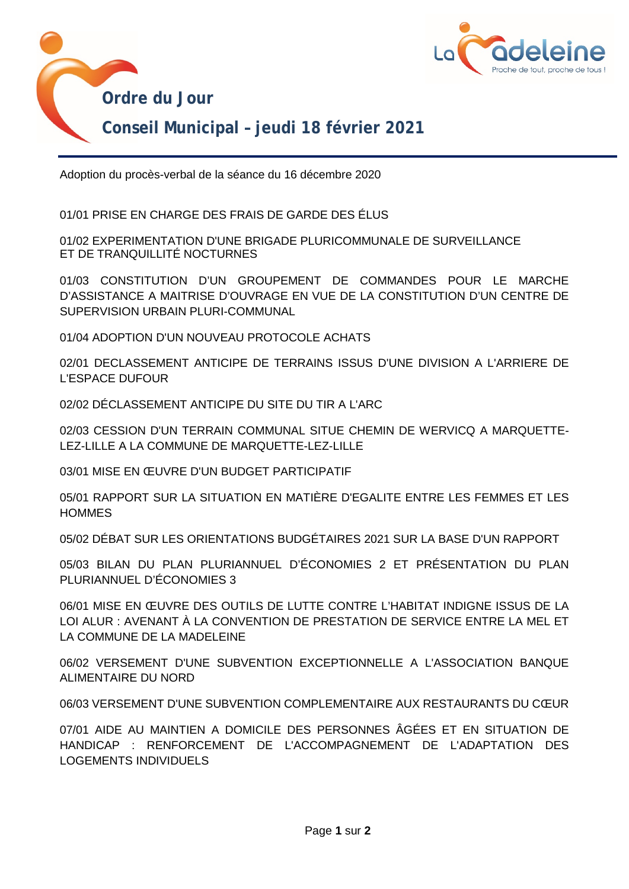

Adoption du procès-verbal de la séance du 16 décembre 2020

01/01 PRISE EN CHARGE DES FRAIS DE GARDE DES ÉLUS

01/02 EXPERIMENTATION D'UNE BRIGADE PLURICOMMUNALE DE SURVEILLANCE ET DE TRANQUILLITÉ NOCTURNES

01/03 CONSTITUTION D'UN GROUPEMENT DE COMMANDES POUR LE MARCHE D'ASSISTANCE A MAITRISE D'OUVRAGE EN VUE DE LA CONSTITUTION D'UN CENTRE DE SUPERVISION URBAIN PLURI-COMMUNAL

01/04 ADOPTION D'UN NOUVEAU PROTOCOLE ACHATS

02/01 DECLASSEMENT ANTICIPE DE TERRAINS ISSUS D'UNE DIVISION A L'ARRIERE DE L'ESPACE DUFOUR

02/02 DÉCLASSEMENT ANTICIPE DU SITE DU TIR A L'ARC

02/03 CESSION D'UN TERRAIN COMMUNAL SITUE CHEMIN DE WERVICQ A MARQUETTE-LEZ-LILLE A LA COMMUNE DE MARQUETTE-LEZ-LILLE

03/01 MISE EN ŒUVRE D'UN BUDGET PARTICIPATIF

05/01 RAPPORT SUR LA SITUATION EN MATIÈRE D'EGALITE ENTRE LES FEMMES ET LES **HOMMES** 

05/02 DÉBAT SUR LES ORIENTATIONS BUDGÉTAIRES 2021 SUR LA BASE D'UN RAPPORT

05/03 BILAN DU PLAN PLURIANNUEL D'ÉCONOMIES 2 ET PRÉSENTATION DU PLAN PLURIANNUEL D'ÉCONOMIES 3

06/01 MISE EN ŒUVRE DES OUTILS DE LUTTE CONTRE L'HABITAT INDIGNE ISSUS DE LA LOI ALUR : AVENANT À LA CONVENTION DE PRESTATION DE SERVICE ENTRE LA MEL ET LA COMMUNE DE LA MADELEINE

06/02 VERSEMENT D'UNE SUBVENTION EXCEPTIONNELLE A L'ASSOCIATION BANQUE ALIMENTAIRE DU NORD

06/03 VERSEMENT D'UNE SUBVENTION COMPLEMENTAIRE AUX RESTAURANTS DU CŒUR

07/01 AIDE AU MAINTIEN A DOMICILE DES PERSONNES ÂGÉES ET EN SITUATION DE HANDICAP : RENFORCEMENT DE L'ACCOMPAGNEMENT DE L'ADAPTATION DES LOGEMENTS INDIVIDUELS